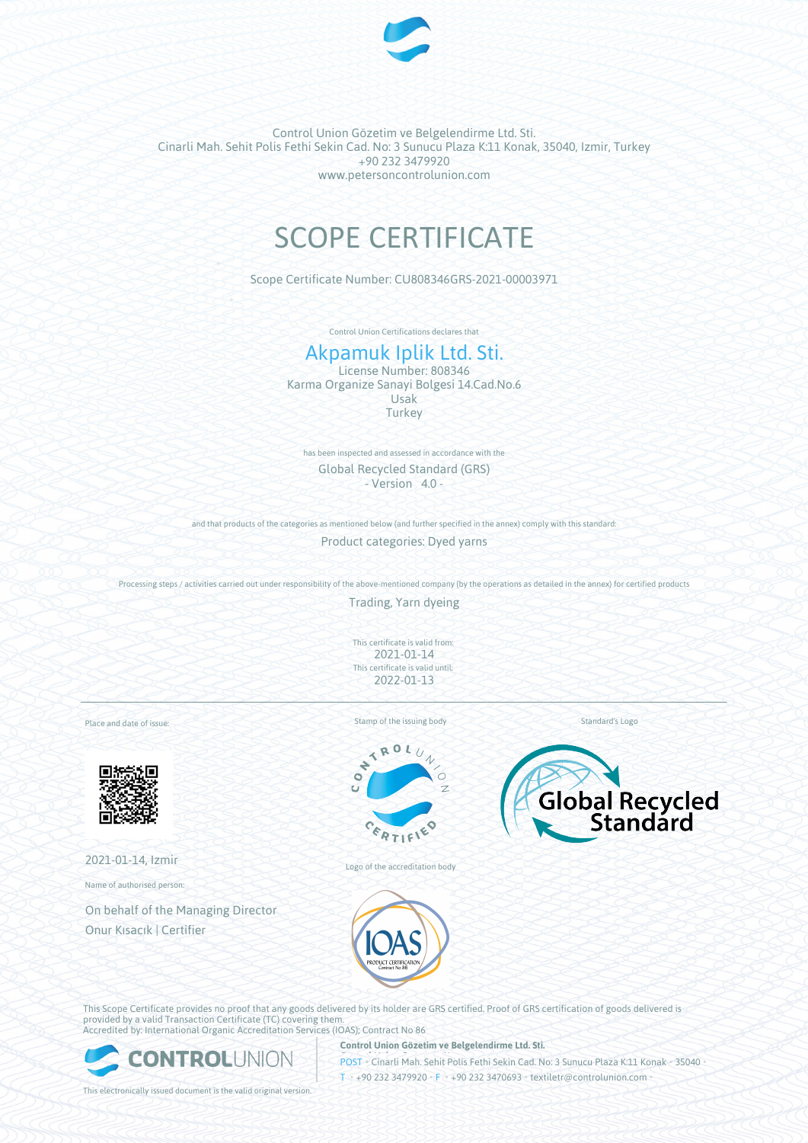

Control Union Gözetim ve Belgelendirme Ltd. Sti. Cinarli Mah. Sehit Polis Fethi Sekin Cad. No: 3 Sunucu Plaza K:11 Konak, 35040, Izmir, Turkey +90 232 3479920 www.petersoncontrolunion.com

# SCOPE CERTIFICATE

Scope Certificate Number: CU808346GRS-2021-00003971

Control Union Certifications declares that

# Akpamuk Iplik Ltd. Sti.

License Number: 808346 Karma Organize Sanayi Bolgesi 14.Cad.No.6 Usak **Turkey** 

has been inspected and assessed in accordance with the Global Recycled Standard (GRS)  $-$  Version  $4.0 -$ 

and that products of the categories as mentioned below (and further specified in the annex) comply with this standard:

Product categories: Dyed yarns

Processing steps / activities carried out under responsibility of the above-mentioned company (by the operations as detailed in the annex) for certified products

Trading, Yarn dyeing

This certificate is valid from: 2021-01-14 This certificate is valid until: 2022-01-13

Place and date of issue:



2021-01-14, Izmir

Name of authorised person:

On behalf of the Managing Director Onur Kısacık | Certifier

Stamp of the issuing body



Logo of the accreditation body



Standard's Logo



This Scope Certificate provides no proof that any goods delivered by its holder are GRS certified. Proof of GRS certification of goods delivered is provided by a valid Transaction Certificate (TC) covering them. Accredited by: International Organic Accreditation Services (IOAS); Contract No 86



**Control Union Gözetim ve Belgelendirme Ltd. Sti.**

**POST** Cinarli Mah. Sehit Polis Fethi Sekin Cad. No: 3 Sunucu Plaza K:11 Konak • 35040 T • +90 232 3479920 • F • +90 232 3470693 • textiletr@controlunion.com

This electronically issued document is the valid original version.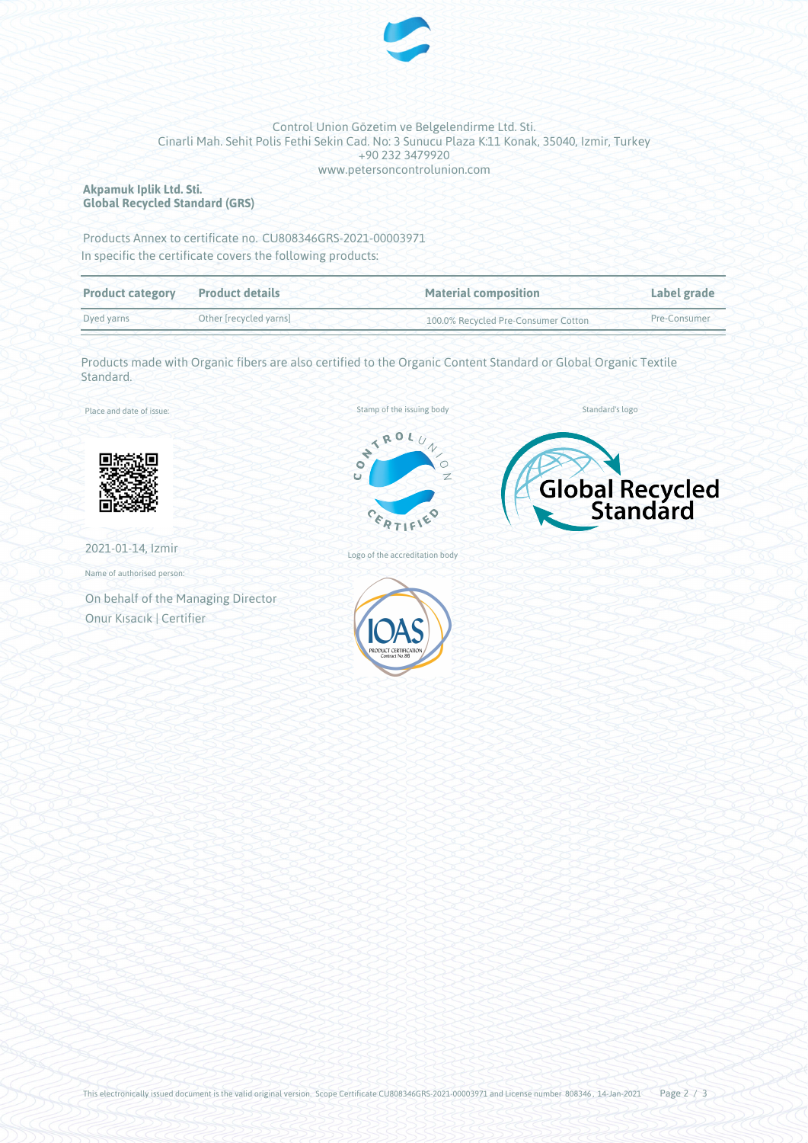

#### Control Union Gözetim ve Belgelendirme Ltd. Sti. Cinarli Mah. Sehit Polis Fethi Sekin Cad. No: 3 Sunucu Plaza K:11 Konak, 35040, Izmir, Turkey +90 232 3479920 www.petersoncontrolunion.com

## **Akpamuk Iplik Ltd. Sti. Global Recycled Standard (GRS)**

Products Annex to certificate no. CU808346GRS-2021-00003971 In specific the certificate covers the following products:

| <b>Product category</b> | <b>Product details</b> | <b>Material composition</b>         | Label grade  |  |
|-------------------------|------------------------|-------------------------------------|--------------|--|
| Dyed varns              | Other [recycled yarns] | 100.0% Recycled Pre-Consumer Cotton | Pre-Consumer |  |

Products made with Organic fibers are also certified to the Organic Content Standard or Global Organic Textile Standard.

Place and date of issue:



2021-01-14, Izmir

Name of authorised person:

On behalf of the Managing Director Onur Kısacık | Certifier



Stamp of the issuing body





Logo of the accreditation body